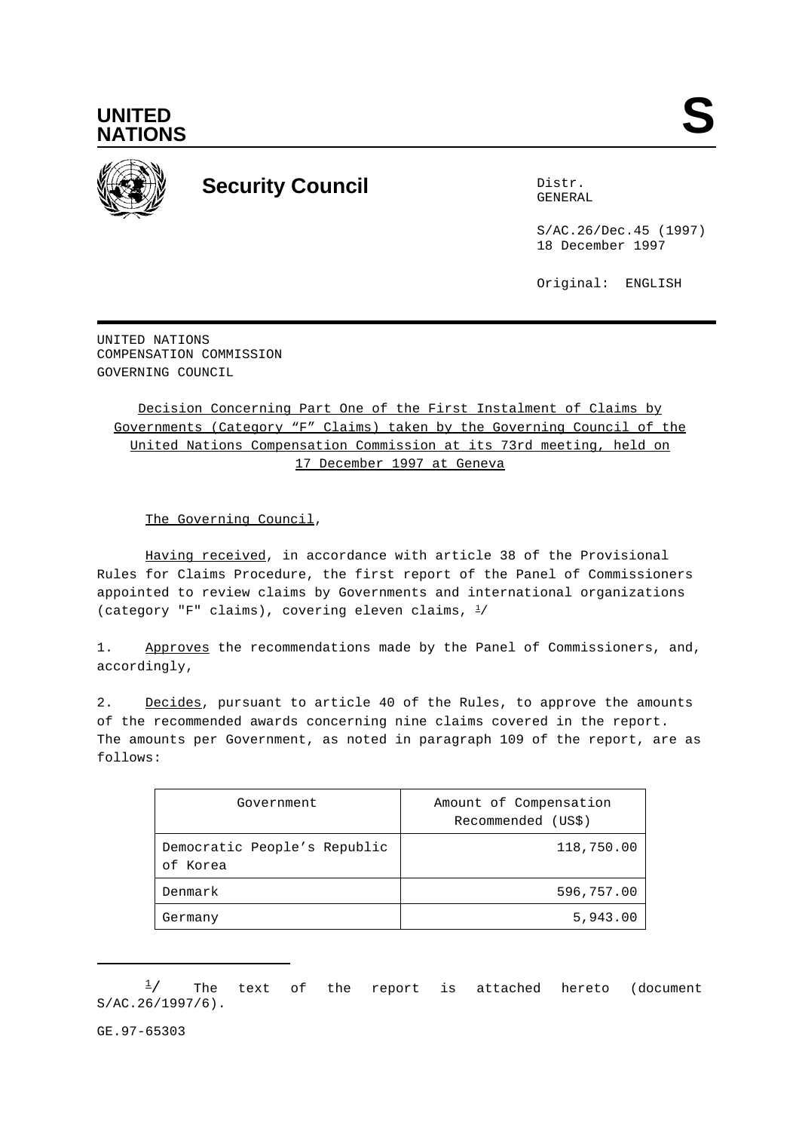



## **Security Council** Distribution Distribution of Distribution Distribution Distribution Distribution Distribution O

GENERAL

S/AC.26/Dec.45 (1997) 18 December 1997

Original: ENGLISH

UNITED NATIONS COMPENSATION COMMISSION GOVERNING COUNCIL

Decision Concerning Part One of the First Instalment of Claims by Governments (Category "F" Claims) taken by the Governing Council of the United Nations Compensation Commission at its 73rd meeting, held on 17 December 1997 at Geneva

The Governing Council,

Having received, in accordance with article 38 of the Provisional Rules for Claims Procedure, the first report of the Panel of Commissioners appointed to review claims by Governments and international organizations (category "F" claims), covering eleven claims,  $\frac{1}{4}$ 

1. Approves the recommendations made by the Panel of Commissioners, and, accordingly,

2. Decides, pursuant to article 40 of the Rules, to approve the amounts of the recommended awards concerning nine claims covered in the report. The amounts per Government, as noted in paragraph 109 of the report, are as follows:

| Government                               | Amount of Compensation<br>Recommended (US\$) |
|------------------------------------------|----------------------------------------------|
| Democratic People's Republic<br>of Korea | 118,750.00                                   |
| Denmark                                  | 596,757.00                                   |
| Germany                                  | 5,943.00                                     |

 $\frac{1}{2}$  The text of the report is attached hereto (document S/AC.26/1997/6).